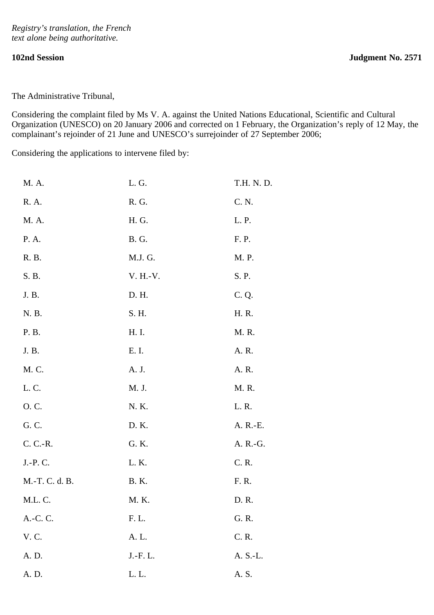The Administrative Tribunal,

Considering the complaint filed by Ms V. A. against the United Nations Educational, Scientific and Cultural Organization (UNESCO) on 20 January 2006 and corrected on 1 February, the Organization's reply of 12 May, the complainant's rejoinder of 21 June and UNESCO's surrejoinder of 27 September 2006;

Considering the applications to intervene filed by:

| M. A.          | L.G.         | T.H. N. D. |
|----------------|--------------|------------|
| R. A.          | R. G.        | C. N.      |
| M. A.          | H. G.        | L. P.      |
| P. A.          | <b>B.</b> G. | F. P.      |
| R. B.          | M.J. G.      | M. P.      |
| S. B.          | V. H.-V.     | S. P.      |
| J. B.          | D. H.        | C. Q.      |
| N. B.          | S. H.        | H. R.      |
| P. B.          | H. I.        | M. R.      |
| J. B.          | E. I.        | A. R.      |
| M. C.          | A. J.        | A. R.      |
| L.C.           | M. J.        | M. R.      |
| O. C.          | N. K.        | L. R.      |
| G. C.          | D. K.        | A. R.-E.   |
| C. C.-R.       | G. K.        | A. R.-G.   |
| J.-P.C.        | L. K.        | C. R.      |
| M.-T. C. d. B. | <b>B.</b> K. | F. R.      |
| M.L.C.         | M. K.        | D. R.      |
| A.-C. C.       | F. L.        | G. R.      |
| V. C.          | A. L.        | C. R.      |
| A. D.          | J.-F.L.      | A. S.-L.   |
| A. D.          | L.L.         | A. S.      |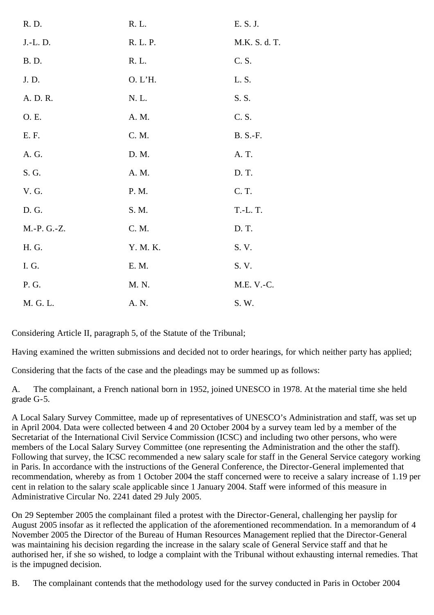| R. D.        | R. L.    | E. S. J.        |
|--------------|----------|-----------------|
| J.-L. D.     | R. L. P. | M.K. S. d. T.   |
| <b>B.</b> D. | R. L.    | C. S.           |
| J. D.        | O. L'H.  | L.S.            |
| A. D. R.     | N. L.    | S. S.           |
| O. E.        | A. M.    | C. S.           |
| E. F.        | C. M.    | <b>B. S.-F.</b> |
| A. G.        | D. M.    | A. T.           |
| S. G.        | A. M.    | D. T.           |
| V. G.        | P. M.    | C. T.           |
| D. G.        | S. M.    | T.-L. T.        |
| M.-P. G.-Z.  | C. M.    | D. T.           |
| H. G.        | Y. M. K. | S. V.           |
| I.G.         | E. M.    | S. V.           |
| P. G.        | M. N.    | M.E. V.-C.      |
| M. G. L.     | A. N.    | S. W.           |

Considering Article II, paragraph 5, of the Statute of the Tribunal;

Having examined the written submissions and decided not to order hearings, for which neither party has applied;

Considering that the facts of the case and the pleadings may be summed up as follows:

A. The complainant, a French national born in 1952, joined UNESCO in 1978. At the material time she held grade G-5.

A Local Salary Survey Committee, made up of representatives of UNESCO's Administration and staff, was set up in April 2004. Data were collected between 4 and 20 October 2004 by a survey team led by a member of the Secretariat of the International Civil Service Commission (ICSC) and including two other persons, who were members of the Local Salary Survey Committee (one representing the Administration and the other the staff). Following that survey, the ICSC recommended a new salary scale for staff in the General Service category working in Paris. In accordance with the instructions of the General Conference, the Director-General implemented that recommendation, whereby as from 1 October 2004 the staff concerned were to receive a salary increase of 1.19 per cent in relation to the salary scale applicable since 1 January 2004. Staff were informed of this measure in Administrative Circular No. 2241 dated 29 July 2005.

On 29 September 2005 the complainant filed a protest with the Director-General, challenging her payslip for August 2005 insofar as it reflected the application of the aforementioned recommendation. In a memorandum of 4 November 2005 the Director of the Bureau of Human Resources Management replied that the Director-General was maintaining his decision regarding the increase in the salary scale of General Service staff and that he authorised her, if she so wished, to lodge a complaint with the Tribunal without exhausting internal remedies. That is the impugned decision.

B. The complainant contends that the methodology used for the survey conducted in Paris in October 2004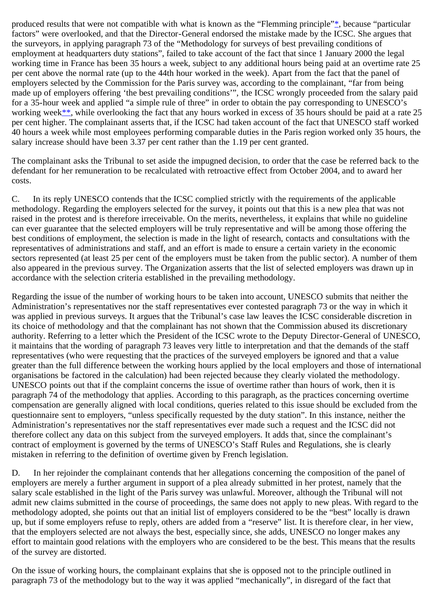<span id="page-2-0"></span>produced results that were not compatible with what is known as the "Flemming principle"[\\*,](#page-6-0) because "particular factors" were overlooked, and that the Director-General endorsed the mistake made by the ICSC. She argues that the surveyors, in applying paragraph 73 of the "Methodology for surveys of best prevailing conditions of employment at headquarters duty stations", failed to take account of the fact that since 1 January 2000 the legal working time in France has been 35 hours a week, subject to any additional hours being paid at an overtime rate 25 per cent above the normal rate (up to the 44th hour worked in the week). Apart from the fact that the panel of employers selected by the Commission for the Paris survey was, according to the complainant, "far from being made up of employers offering 'the best prevailing conditions'", the ICSC wrongly proceeded from the salary paid for a 35-hour week and applied "a simple rule of three" in order to obtain the pay corresponding to UNESCO's working week[\\*\\*](#page-6-1), while overlooking the fact that any hours worked in excess of 35 hours should be paid at a rate 25 per cent higher. The complainant asserts that, if the ICSC had taken account of the fact that UNESCO staff worked 40 hours a week while most employees performing comparable duties in the Paris region worked only 35 hours, the salary increase should have been 3.37 per cent rather than the 1.19 per cent granted.

<span id="page-2-1"></span>The complainant asks the Tribunal to set aside the impugned decision, to order that the case be referred back to the defendant for her remuneration to be recalculated with retroactive effect from October 2004, and to award her costs.

C. In its reply UNESCO contends that the ICSC complied strictly with the requirements of the applicable methodology. Regarding the employers selected for the survey, it points out that this is a new plea that was not raised in the protest and is therefore irreceivable. On the merits, nevertheless, it explains that while no guideline can ever guarantee that the selected employers will be truly representative and will be among those offering the best conditions of employment, the selection is made in the light of research, contacts and consultations with the representatives of administrations and staff, and an effort is made to ensure a certain variety in the economic sectors represented (at least 25 per cent of the employers must be taken from the public sector). A number of them also appeared in the previous survey. The Organization asserts that the list of selected employers was drawn up in accordance with the selection criteria established in the prevailing methodology.

Regarding the issue of the number of working hours to be taken into account, UNESCO submits that neither the Administration's representatives nor the staff representatives ever contested paragraph 73 or the way in which it was applied in previous surveys. It argues that the Tribunal's case law leaves the ICSC considerable discretion in its choice of methodology and that the complainant has not shown that the Commission abused its discretionary authority. Referring to a letter which the President of the ICSC wrote to the Deputy Director-General of UNESCO, it maintains that the wording of paragraph 73 leaves very little to interpretation and that the demands of the staff representatives (who were requesting that the practices of the surveyed employers be ignored and that a value greater than the full difference between the working hours applied by the local employers and those of international organisations be factored in the calculation) had been rejected because they clearly violated the methodology. UNESCO points out that if the complaint concerns the issue of overtime rather than hours of work, then it is paragraph 74 of the methodology that applies. According to this paragraph, as the practices concerning overtime compensation are generally aligned with local conditions, queries related to this issue should be excluded from the questionnaire sent to employers, "unless specifically requested by the duty station". In this instance, neither the Administration's representatives nor the staff representatives ever made such a request and the ICSC did not therefore collect any data on this subject from the surveyed employers. It adds that, since the complainant's contract of employment is governed by the terms of UNESCO's Staff Rules and Regulations, she is clearly mistaken in referring to the definition of overtime given by French legislation.

D. In her rejoinder the complainant contends that her allegations concerning the composition of the panel of employers are merely a further argument in support of a plea already submitted in her protest, namely that the salary scale established in the light of the Paris survey was unlawful. Moreover, although the Tribunal will not admit new claims submitted in the course of proceedings, the same does not apply to new pleas. With regard to the methodology adopted, she points out that an initial list of employers considered to be the "best" locally is drawn up, but if some employers refuse to reply, others are added from a "reserve" list. It is therefore clear, in her view, that the employers selected are not always the best, especially since, she adds, UNESCO no longer makes any effort to maintain good relations with the employers who are considered to be the best. This means that the results of the survey are distorted.

On the issue of working hours, the complainant explains that she is opposed not to the principle outlined in paragraph 73 of the methodology but to the way it was applied "mechanically", in disregard of the fact that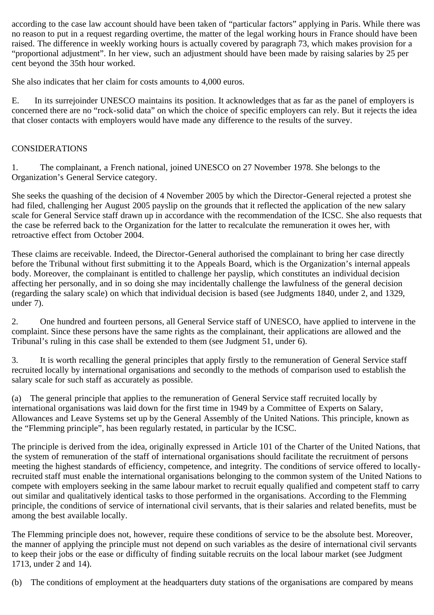according to the case law account should have been taken of "particular factors" applying in Paris. While there was no reason to put in a request regarding overtime, the matter of the legal working hours in France should have been raised. The difference in weekly working hours is actually covered by paragraph 73, which makes provision for a "proportional adjustment". In her view, such an adjustment should have been made by raising salaries by 25 per cent beyond the 35th hour worked.

She also indicates that her claim for costs amounts to 4,000 euros.

E. In its surrejoinder UNESCO maintains its position. It acknowledges that as far as the panel of employers is concerned there are no "rock-solid data" on which the choice of specific employers can rely. But it rejects the idea that closer contacts with employers would have made any difference to the results of the survey.

## CONSIDERATIONS

1. The complainant, a French national, joined UNESCO on 27 November 1978. She belongs to the Organization's General Service category.

She seeks the quashing of the decision of 4 November 2005 by which the Director-General rejected a protest she had filed, challenging her August 2005 payslip on the grounds that it reflected the application of the new salary scale for General Service staff drawn up in accordance with the recommendation of the ICSC. She also requests that the case be referred back to the Organization for the latter to recalculate the remuneration it owes her, with retroactive effect from October 2004.

These claims are receivable. Indeed, the Director-General authorised the complainant to bring her case directly before the Tribunal without first submitting it to the Appeals Board, which is the Organization's internal appeals body. Moreover, the complainant is entitled to challenge her payslip, which constitutes an individual decision affecting her personally, and in so doing she may incidentally challenge the lawfulness of the general decision (regarding the salary scale) on which that individual decision is based (see Judgments 1840, under 2, and 1329, under 7).

2. One hundred and fourteen persons, all General Service staff of UNESCO, have applied to intervene in the complaint. Since these persons have the same rights as the complainant, their applications are allowed and the Tribunal's ruling in this case shall be extended to them (see Judgment 51, under 6).

3. It is worth recalling the general principles that apply firstly to the remuneration of General Service staff recruited locally by international organisations and secondly to the methods of comparison used to establish the salary scale for such staff as accurately as possible.

(a) The general principle that applies to the remuneration of General Service staff recruited locally by international organisations was laid down for the first time in 1949 by a Committee of Experts on Salary, Allowances and Leave Systems set up by the General Assembly of the United Nations. This principle, known as the "Flemming principle", has been regularly restated, in particular by the ICSC.

The principle is derived from the idea, originally expressed in Article 101 of the Charter of the United Nations, that the system of remuneration of the staff of international organisations should facilitate the recruitment of persons meeting the highest standards of efficiency, competence, and integrity. The conditions of service offered to locallyrecruited staff must enable the international organisations belonging to the common system of the United Nations to compete with employers seeking in the same labour market to recruit equally qualified and competent staff to carry out similar and qualitatively identical tasks to those performed in the organisations. According to the Flemming principle, the conditions of service of international civil servants, that is their salaries and related benefits, must be among the best available locally.

The Flemming principle does not, however, require these conditions of service to be the absolute best. Moreover, the manner of applying the principle must not depend on such variables as the desire of international civil servants to keep their jobs or the ease or difficulty of finding suitable recruits on the local labour market (see Judgment 1713, under 2 and 14).

(b) The conditions of employment at the headquarters duty stations of the organisations are compared by means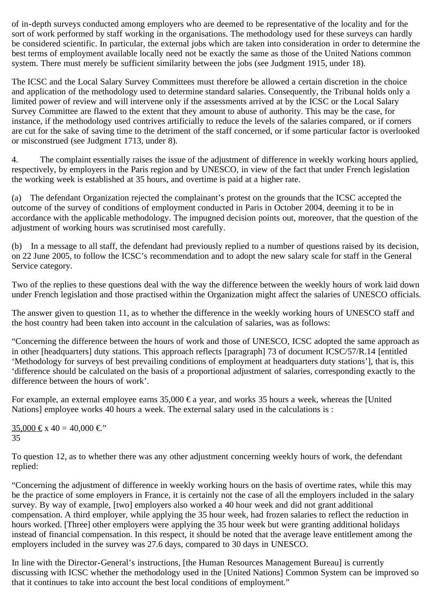of in-depth surveys conducted among employers who are deemed to be representative of the locality and for the sort of work performed by staff working in the organisations. The methodology used for these surveys can hardly be considered scientific. In particular, the external jobs which are taken into consideration in order to determine the best terms of employment available locally need not be exactly the same as those of the United Nations common system. There must merely be sufficient similarity between the jobs (see Judgment 1915, under 18).

The ICSC and the Local Salary Survey Committees must therefore be allowed a certain discretion in the choice and application of the methodology used to determine standard salaries. Consequently, the Tribunal holds only a limited power of review and will intervene only if the assessments arrived at by the ICSC or the Local Salary Survey Committee are flawed to the extent that they amount to abuse of authority. This may be the case, for instance, if the methodology used contrives artificially to reduce the levels of the salaries compared, or if corners are cut for the sake of saving time to the detriment of the staff concerned, or if some particular factor is overlooked or misconstrued (see Judgment 1713, under 8).

4. The complaint essentially raises the issue of the adjustment of difference in weekly working hours applied, respectively, by employers in the Paris region and by UNESCO, in view of the fact that under French legislation the working week is established at 35 hours, and overtime is paid at a higher rate.

(a) The defendant Organization rejected the complainant's protest on the grounds that the ICSC accepted the outcome of the survey of conditions of employment conducted in Paris in October 2004, deeming it to be in accordance with the applicable methodology. The impugned decision points out, moreover, that the question of the adjustment of working hours was scrutinised most carefully.

(b) In a message to all staff, the defendant had previously replied to a number of questions raised by its decision, on 22 June 2005, to follow the ICSC's recommendation and to adopt the new salary scale for staff in the General Service category.

Two of the replies to these questions deal with the way the difference between the weekly hours of work laid down under French legislation and those practised within the Organization might affect the salaries of UNESCO officials.

The answer given to question 11, as to whether the difference in the weekly working hours of UNESCO staff and the host country had been taken into account in the calculation of salaries, was as follows:

"Concerning the difference between the hours of work and those of UNESCO, ICSC adopted the same approach as in other [headquarters] duty stations. This approach reflects [paragraph] 73 of document ICSC/57/R.14 [entitled 'Methodology for surveys of best prevailing conditions of employment at headquarters duty stations'], that is, this 'difference should be calculated on the basis of a proportional adjustment of salaries, corresponding exactly to the difference between the hours of work'.

For example, an external employee earns  $35,000 \in \mathbb{R}$  year, and works 35 hours a week, whereas the [United] Nations] employee works 40 hours a week. The external salary used in the calculations is :

35,000 € x 40 = 40,000 €". 35

To question 12, as to whether there was any other adjustment concerning weekly hours of work, the defendant replied:

"Concerning the adjustment of difference in weekly working hours on the basis of overtime rates, while this may be the practice of some employers in France, it is certainly not the case of all the employers included in the salary survey. By way of example, [two] employers also worked a 40 hour week and did not grant additional compensation. A third employer, while applying the 35 hour week, had frozen salaries to reflect the reduction in hours worked. [Three] other employers were applying the 35 hour week but were granting additional holidays instead of financial compensation. In this respect, it should be noted that the average leave entitlement among the employers included in the survey was 27.6 days, compared to 30 days in UNESCO.

In line with the Director-General's instructions, [the Human Resources Management Bureau] is currently discussing with ICSC whether the methodology used in the [United Nations] Common System can be improved so that it continues to take into account the best local conditions of employment."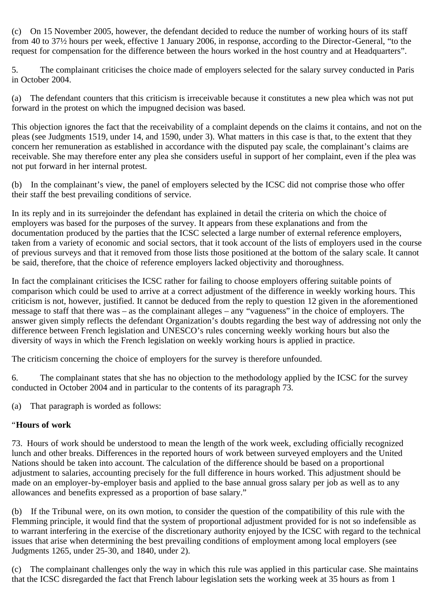(c) On 15 November 2005, however, the defendant decided to reduce the number of working hours of its staff from 40 to 37½ hours per week, effective 1 January 2006, in response, according to the Director-General, "to the request for compensation for the difference between the hours worked in the host country and at Headquarters".

5. The complainant criticises the choice made of employers selected for the salary survey conducted in Paris in October 2004.

(a) The defendant counters that this criticism is irreceivable because it constitutes a new plea which was not put forward in the protest on which the impugned decision was based.

This objection ignores the fact that the receivability of a complaint depends on the claims it contains, and not on the pleas (see Judgments 1519, under 14, and 1590, under 3). What matters in this case is that, to the extent that they concern her remuneration as established in accordance with the disputed pay scale, the complainant's claims are receivable. She may therefore enter any plea she considers useful in support of her complaint, even if the plea was not put forward in her internal protest.

(b) In the complainant's view, the panel of employers selected by the ICSC did not comprise those who offer their staff the best prevailing conditions of service.

In its reply and in its surrejoinder the defendant has explained in detail the criteria on which the choice of employers was based for the purposes of the survey. It appears from these explanations and from the documentation produced by the parties that the ICSC selected a large number of external reference employers, taken from a variety of economic and social sectors, that it took account of the lists of employers used in the course of previous surveys and that it removed from those lists those positioned at the bottom of the salary scale. It cannot be said, therefore, that the choice of reference employers lacked objectivity and thoroughness.

In fact the complainant criticises the ICSC rather for failing to choose employers offering suitable points of comparison which could be used to arrive at a correct adjustment of the difference in weekly working hours. This criticism is not, however, justified. It cannot be deduced from the reply to question 12 given in the aforementioned message to staff that there was – as the complainant alleges – any "vagueness" in the choice of employers. The answer given simply reflects the defendant Organization's doubts regarding the best way of addressing not only the difference between French legislation and UNESCO's rules concerning weekly working hours but also the diversity of ways in which the French legislation on weekly working hours is applied in practice.

The criticism concerning the choice of employers for the survey is therefore unfounded.

6. The complainant states that she has no objection to the methodology applied by the ICSC for the survey conducted in October 2004 and in particular to the contents of its paragraph 73.

(a) That paragraph is worded as follows:

## "**Hours of work**

73. Hours of work should be understood to mean the length of the work week, excluding officially recognized lunch and other breaks. Differences in the reported hours of work between surveyed employers and the United Nations should be taken into account. The calculation of the difference should be based on a proportional adjustment to salaries, accounting precisely for the full difference in hours worked. This adjustment should be made on an employer-by-employer basis and applied to the base annual gross salary per job as well as to any allowances and benefits expressed as a proportion of base salary."

(b) If the Tribunal were, on its own motion, to consider the question of the compatibility of this rule with the Flemming principle, it would find that the system of proportional adjustment provided for is not so indefensible as to warrant interfering in the exercise of the discretionary authority enjoyed by the ICSC with regard to the technical issues that arise when determining the best prevailing conditions of employment among local employers (see Judgments 1265, under 25-30, and 1840, under 2).

(c) The complainant challenges only the way in which this rule was applied in this particular case. She maintains that the ICSC disregarded the fact that French labour legislation sets the working week at 35 hours as from 1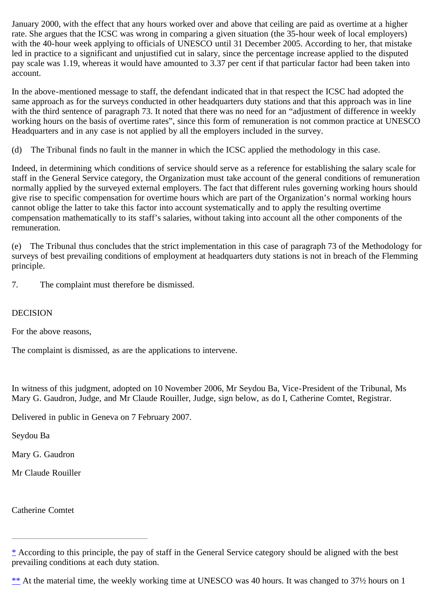January 2000, with the effect that any hours worked over and above that ceiling are paid as overtime at a higher rate. She argues that the ICSC was wrong in comparing a given situation (the 35-hour week of local employers) with the 40-hour week applying to officials of UNESCO until 31 December 2005. According to her, that mistake led in practice to a significant and unjustified cut in salary, since the percentage increase applied to the disputed pay scale was 1.19, whereas it would have amounted to 3.37 per cent if that particular factor had been taken into account.

In the above-mentioned message to staff, the defendant indicated that in that respect the ICSC had adopted the same approach as for the surveys conducted in other headquarters duty stations and that this approach was in line with the third sentence of paragraph 73. It noted that there was no need for an "adjustment of difference in weekly working hours on the basis of overtime rates", since this form of remuneration is not common practice at UNESCO Headquarters and in any case is not applied by all the employers included in the survey.

(d) The Tribunal finds no fault in the manner in which the ICSC applied the methodology in this case.

Indeed, in determining which conditions of service should serve as a reference for establishing the salary scale for staff in the General Service category, the Organization must take account of the general conditions of remuneration normally applied by the surveyed external employers. The fact that different rules governing working hours should give rise to specific compensation for overtime hours which are part of the Organization's normal working hours cannot oblige the latter to take this factor into account systematically and to apply the resulting overtime compensation mathematically to its staff's salaries, without taking into account all the other components of the remuneration.

(e) The Tribunal thus concludes that the strict implementation in this case of paragraph 73 of the Methodology for surveys of best prevailing conditions of employment at headquarters duty stations is not in breach of the Flemming principle.

7. The complaint must therefore be dismissed.

## DECISION

For the above reasons,

The complaint is dismissed, as are the applications to intervene.

In witness of this judgment, adopted on 10 November 2006, Mr Seydou Ba, Vice-President of the Tribunal, Ms Mary G. Gaudron, Judge, and Mr Claude Rouiller, Judge, sign below, as do I, Catherine Comtet, Registrar.

Delivered in public in Geneva on 7 February 2007.

Seydou Ba

Mary G. Gaudron

Mr Claude Rouiller

Catherine Comtet

<span id="page-6-1"></span>[\\*\\*](#page-2-1) At the material time, the weekly working time at UNESCO was 40 hours. It was changed to 37<sup>1</sup>/<sub>2</sub> hours on 1

<span id="page-6-0"></span> $*$  According to this principle, the pay of staff in the General Service category should be aligned with the best prevailing conditions at each duty station.